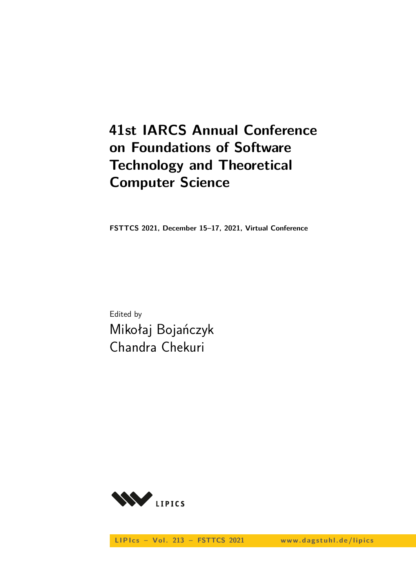# **41st IARCS Annual Conference on Foundations of Software Technology and Theoretical Computer Science**

**FSTTCS 2021, December 15–17, 2021, Virtual Conference**

Edited by Mikołaj Bojańczyk Chandra Chekuri



LIPIcs - Vol. 213 - FSTTCS 2021 www.dagstuhl.de/lipics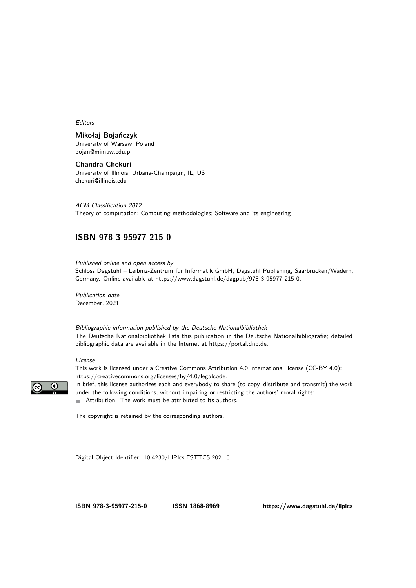Editors

### **Mikołaj Bojańczyk**

University of Warsaw, Poland [bojan@mimuw.edu.pl](mailto:bojan@mimuw.edu.pl)

**Chandra Chekuri** University of Illinois, Urbana-Champaign, IL, US [chekuri@illinois.edu](mailto:chekuri@illinois.edu)

ACM Classification 2012 Theory of computation; Computing methodologies; Software and its engineering

### **[ISBN 978-3-95977-215-0](https://www.dagstuhl.de/dagpub/978-3-95977-215-0)**

Published online and open access by

Schloss Dagstuhl – Leibniz-Zentrum für Informatik GmbH, Dagstuhl Publishing, Saarbrücken/Wadern, Germany. Online available at [https://www.dagstuhl.de/dagpub/978-3-95977-215-0.](https://www.dagstuhl.de/dagpub/978-3-95977-215-0)

Publication date December, 2021

Bibliographic information published by the Deutsche Nationalbibliothek The Deutsche Nationalbibliothek lists this publication in the Deutsche Nationalbibliografie; detailed bibliographic data are available in the Internet at [https://portal.dnb.de.](https://portal.dnb.de)

#### License

This work is licensed under a Creative Commons Attribution 4.0 International license (CC-BY 4.0): [https://creativecommons.org/licenses/by/4.0/legalcode.](https://creativecommons.org/licenses/by/4.0/legalcode)



In brief, this license authorizes each and everybody to share (to copy, distribute and transmit) the work under the following conditions, without impairing or restricting the authors' moral rights: Attribution: The work must be attributed to its authors.

The copyright is retained by the corresponding authors.

Digital Object Identifier: [10.4230/LIPIcs.FSTTCS.2021.0](https://doi.org/10.4230/LIPIcs.FSTTCS.2021.0)

**[ISBN 978-3-95977-215-0](https://www.dagstuhl.de/dagpub/978-3-95977-215-0) [ISSN 1868-8969](https://www.dagstuhl.de/dagpub/1868-8969)<https://www.dagstuhl.de/lipics>**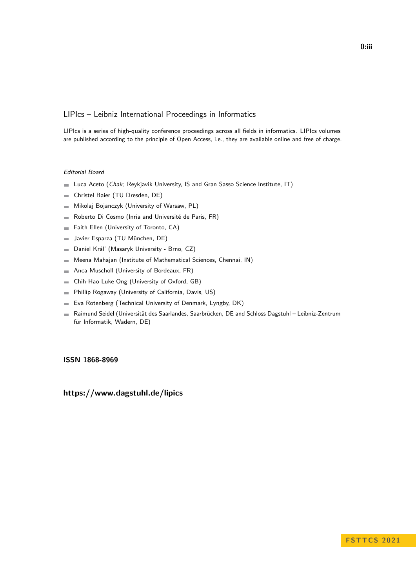#### LIPIcs – Leibniz International Proceedings in Informatics

LIPIcs is a series of high-quality conference proceedings across all fields in informatics. LIPIcs volumes are published according to the principle of Open Access, i.e., they are available online and free of charge.

#### Editorial Board

- **Luca Aceto** (*Chair*, Reykjavik University, IS and Gran Sasso Science Institute, IT)
- Christel Baier (TU Dresden, DE)  $\equiv$
- Mikolaj Bojanczyk (University of Warsaw, PL)  $\equiv$
- Roberto Di Cosmo (Inria and Université de Paris, FR)  $\overline{\phantom{a}}$
- Faith Ellen (University of Toronto, CA)  $\equiv$
- Javier Esparza (TU München, DE)  $\blacksquare$
- Daniel Král' (Masaryk University Brno, CZ)  $\blacksquare$
- Meena Mahajan (Institute of Mathematical Sciences, Chennai, IN)  $\overline{a}$
- Anca Muscholl (University of Bordeaux, FR)  $\blacksquare$
- Chih-Hao Luke Ong (University of Oxford, GB)  $\blacksquare$
- Phillip Rogaway (University of California, Davis, US)  $\blacksquare$
- Eva Rotenberg (Technical University of Denmark, Lyngby, DK)  $\blacksquare$
- Raimund Seidel (Universität des Saarlandes, Saarbrücken, DE and Schloss Dagstuhl Leibniz-Zentrum  $\sim$ für Informatik, Wadern, DE)

#### **[ISSN 1868-8969](https://www.dagstuhl.de/dagpub/1868-8969)**

**<https://www.dagstuhl.de/lipics>**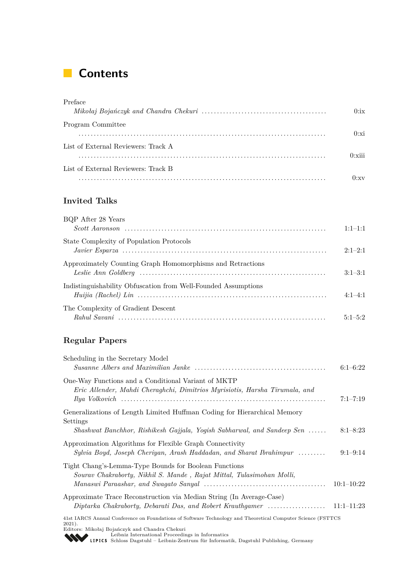# **Contents**

| Preface                             |                       |
|-------------------------------------|-----------------------|
|                                     | 0:ix                  |
| Program Committee                   |                       |
|                                     | 0:xi                  |
| List of External Reviewers: Track A |                       |
|                                     | $0 \cdot \text{xiii}$ |
| List of External Reviewers: Track B |                       |
|                                     | $\mathbf{y}$          |

### **Invited Talks**

| BQP After 28 Years                                             | $1:1-1:1$   |
|----------------------------------------------------------------|-------------|
| State Complexity of Population Protocols                       | $2:1-2:1$   |
| Approximately Counting Graph Homomorphisms and Retractions     | $3:1-3:1$   |
| Indistinguishability Obfuscation from Well-Founded Assumptions | $4.1 - 4.1$ |
| The Complexity of Gradient Descent                             | $5.1 - 5.2$ |

## **Regular Papers**

| Scheduling in the Secretary Model                                                                                                                                          |              |
|----------------------------------------------------------------------------------------------------------------------------------------------------------------------------|--------------|
|                                                                                                                                                                            | $6:1 - 6:22$ |
| One-Way Functions and a Conditional Variant of MKTP                                                                                                                        |              |
| Eric Allender, Mahdi Cheraghchi, Dimitrios Myrisiotis, Harsha Tirumala, and                                                                                                | $7:1 - 7:19$ |
| Generalizations of Length Limited Huffman Coding for Hierarchical Memory<br>Settings                                                                                       |              |
| Shashwat Banchhor, Rishikesh Gajjala, Yogish Sabharwal, and Sandeep Sen                                                                                                    | $8:1 - 8:23$ |
| Approximation Algorithms for Flexible Graph Connectivity<br>Sylvia Boyd, Joseph Cheriyan, Arash Haddadan, and Sharat Ibrahimpur                                            | $9:1-9:14$   |
| Tight Chang's-Lemma-Type Bounds for Boolean Functions<br>Sourav Chakraborty, Nikhil S. Mande, Rajat Mittal, Tulasimohan Molli,                                             | $10:1-10:22$ |
| Approximate Trace Reconstruction via Median String (In Average-Case)<br>Diptarka Chakraborty, Debarati Das, and Robert Krauthgamer                                         | $11:1-11:23$ |
| 41st IARCS Annual Conference on Foundations of Software Technology and Theoretical Computer Science (FSTTCS<br>$2021$ .<br>Editors: Milcolai Bojanczyk and Chandra Chokuri |              |

Editors: Mikołaj Bojańczyk and Chandra Chekuri [Leibniz International Proceedings in Informatics](https://www.dagstuhl.de/lipics/) [Schloss Dagstuhl – Leibniz-Zentrum für Informatik, Dagstuhl Publishing, Germany](https://www.dagstuhl.de)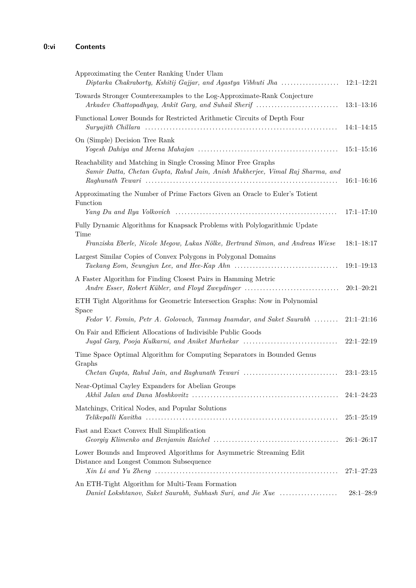| Approximating the Center Ranking Under Ulam<br>Diptarka Chakraborty, Kshitij Gajjar, and Agastya Vibhuti Jha                                                         | $12:1-12:21$                   |
|----------------------------------------------------------------------------------------------------------------------------------------------------------------------|--------------------------------|
| Towards Stronger Counterexamples to the Log-Approximate-Rank Conjecture<br>Arkadev Chattopadhyay, Ankit Garg, and Suhail Sherif                                      | $13:1-13:16$                   |
| Functional Lower Bounds for Restricted Arithmetic Circuits of Depth Four                                                                                             | $14:1-14:15$                   |
| On (Simple) Decision Tree Rank                                                                                                                                       | $15:1 - 15:16$                 |
| Reachability and Matching in Single Crossing Minor Free Graphs<br>Samir Datta, Chetan Gupta, Rahul Jain, Anish Mukherjee, Vimal Raj Sharma, and                      | $16:1 - 16:16$                 |
| Approximating the Number of Prime Factors Given an Oracle to Euler's Totient<br>Function                                                                             | $17:1 - 17:10$                 |
| Fully Dynamic Algorithms for Knapsack Problems with Polylogarithmic Update<br>Time<br>Franziska Eberle, Nicole Megow, Lukas Nölke, Bertrand Simon, and Andreas Wiese | $18:1 - 18:17$                 |
| Largest Similar Copies of Convex Polygons in Polygonal Domains                                                                                                       | $19:1-19:13$                   |
| A Faster Algorithm for Finding Closest Pairs in Hamming Metric<br>Andre Esser, Robert Kübler, and Floyd Zweydinger                                                   | $20:1-20:21$                   |
| ETH Tight Algorithms for Geometric Intersection Graphs: Now in Polynomial<br>Space<br>Fedor V. Fomin, Petr A. Golovach, Tanmay Inamdar, and Saket Saurabh            | $21:1-21:16$                   |
| On Fair and Efficient Allocations of Indivisible Public Goods<br>Jugal Garg, Pooja Kulkarni, and Aniket Murhekar                                                     | $22:1-22:19$                   |
| Time Space Optimal Algorithm for Computing Separators in Bounded Genus<br>Graphs                                                                                     |                                |
| Near-Optimal Cayley Expanders for Abelian Groups                                                                                                                     | $23:1-23:15$<br>$24:1 - 24:23$ |
| Matchings, Critical Nodes, and Popular Solutions                                                                                                                     | $25:1-25:19$                   |
| Fast and Exact Convex Hull Simplification                                                                                                                            | $26:1-26:17$                   |
| Lower Bounds and Improved Algorithms for Asymmetric Streaming Edit<br>Distance and Longest Common Subsequence                                                        | $27:1 - 27:23$                 |
| An ETH-Tight Algorithm for Multi-Team Formation<br>Daniel Lokshtanov, Saket Saurabh, Subhash Suri, and Jie Xue                                                       | $28:1 - 28:9$                  |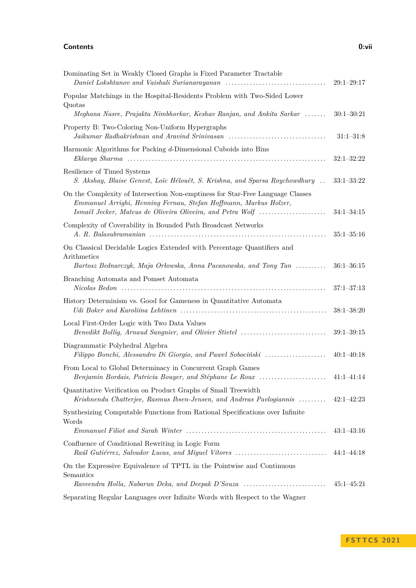#### **Contents 0:vii**

| Dominating Set in Weakly Closed Graphs is Fixed Parameter Tractable                                                                                                                                               | $29:1 - 29:17$ |
|-------------------------------------------------------------------------------------------------------------------------------------------------------------------------------------------------------------------|----------------|
| Popular Matchings in the Hospital-Residents Problem with Two-Sided Lower<br>Quotas                                                                                                                                |                |
| Meghana Nasre, Prajakta Nimbhorkar, Keshav Ranjan, and Ankita Sarkar                                                                                                                                              | $30:1 - 30:21$ |
| Property B: Two-Coloring Non-Uniform Hypergraphs<br>Jaikumar Radhakrishnan and Aravind Srinivasan                                                                                                                 | $31:1 - 31:8$  |
| Harmonic Algorithms for Packing d-Dimensional Cuboids into Bins                                                                                                                                                   | $32:1 - 32:22$ |
| Resilience of Timed Systems<br>S. Akshay, Blaise Genest, Loïc Hélouët, S. Krishna, and Sparsa Roychowdhury                                                                                                        | $33:1 - 33:22$ |
| On the Complexity of Intersection Non-emptiness for Star-Free Language Classes<br>Emmanuel Arrighi, Henning Fernau, Stefan Hoffmann, Markus Holzer,<br>Ismaël Jecker, Mateus de Oliveira Oliveira, and Petra Wolf | $34:1 - 34:15$ |
| Complexity of Coverability in Bounded Path Broadcast Networks                                                                                                                                                     | $35:1 - 35:16$ |
| On Classical Decidable Logics Extended with Percentage Quantifiers and<br>Arithmetics<br>Bartosz Bednarczyk, Maja Orłowska, Anna Pacanowska, and Tony Tan                                                         | $36:1 - 36:15$ |
| Branching Automata and Pomset Automata                                                                                                                                                                            | $37:1 - 37:13$ |
| History Determinism vs. Good for Gameness in Quantitative Automata                                                                                                                                                | $38:1 - 38:20$ |
| Local First-Order Logic with Two Data Values<br>Benedikt Bollig, Arnaud Sangnier, and Olivier Stietel                                                                                                             | $39:1 - 39:15$ |
| Diagrammatic Polyhedral Algebra<br>Filippo Bonchi, Alessandro Di Giorgio, and Pawel Sobociński                                                                                                                    | $40:1 - 40:18$ |
| From Local to Global Determinacy in Concurrent Graph Games<br>Benjamin Bordais, Patricia Bouyer, and Stéphane Le Roux                                                                                             | $41:1-41:14$   |
| Quantitative Verification on Product Graphs of Small Treewidth<br>Krishnendu Chatterjee, Rasmus Ibsen-Jensen, and Andreas Pavlogiannis                                                                            | $42:1 - 42:23$ |
| Synthesizing Computable Functions from Rational Specifications over Infinite<br>Words                                                                                                                             |                |
|                                                                                                                                                                                                                   | $43:1 - 43:16$ |
| Confluence of Conditional Rewriting in Logic Form<br>Raúl Gutiérrez, Salvador Lucas, and Miguel Vítores                                                                                                           | $44:1 - 44:18$ |
| On the Expressive Equivalence of TPTL in the Pointwise and Continuous<br>Semantics                                                                                                                                |                |
| Raveendra Holla, Nabarun Deka, and Deepak D'Souza                                                                                                                                                                 | $45:1 - 45:21$ |
| Separating Regular Languages over Infinite Words with Respect to the Wagner                                                                                                                                       |                |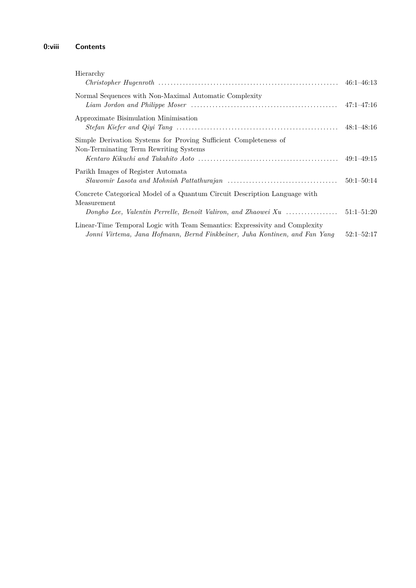### **0:viii Contents**

| Hierarchy                                                                                                                                                 |                |
|-----------------------------------------------------------------------------------------------------------------------------------------------------------|----------------|
| Normal Sequences with Non-Maximal Automatic Complexity                                                                                                    |                |
| Approximate Bisimulation Minimisation                                                                                                                     | $48:1 - 48:16$ |
| Simple Derivation Systems for Proving Sufficient Completeness of<br>Non-Terminating Term Rewriting Systems                                                |                |
| Parikh Images of Register Automata                                                                                                                        | $50:1 - 50:14$ |
| Concrete Categorical Model of a Quantum Circuit Description Language with<br>Measurement<br>Dongho Lee, Valentin Perrelle, Benoît Valiron, and Zhaowei Xu | $51:1 - 51:20$ |
| Linear-Time Temporal Logic with Team Semantics: Expressivity and Complexity<br>Jonni Virtema, Jana Hofmann, Bernd Finkbeiner, Juha Kontinen, and Fan Yang | $52:1 - 52:17$ |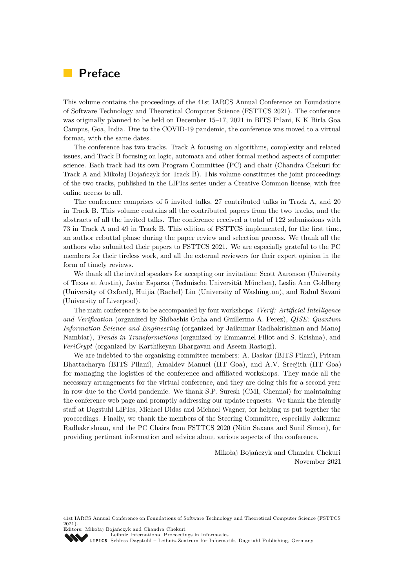# <span id="page-8-0"></span>**Preface**

This volume contains the proceedings of the 41st IARCS Annual Conference on Foundations of Software Technology and Theoretical Computer Science (FSTTCS 2021). The conference was originally planned to be held on December 15–17, 2021 in BITS Pilani, K K Birla Goa Campus, Goa, India. Due to the COVID-19 pandemic, the conference was moved to a virtual format, with the same dates.

The conference has two tracks. Track A focusing on algorithms, complexity and related issues, and Track B focusing on logic, automata and other formal method aspects of computer science. Each track had its own Program Committee (PC) and chair (Chandra Chekuri for Track A and Mikołaj Bojańczyk for Track B). This volume constitutes the joint proceedings of the two tracks, published in the LIPIcs series under a Creative Common license, with free online access to all.

The conference comprises of 5 invited talks, 27 contributed talks in Track A, and 20 in Track B. This volume contains all the contributed papers from the two tracks, and the abstracts of all the invited talks. The conference received a total of 122 submissions with 73 in Track A and 49 in Track B. This edition of FSTTCS implemented, for the first time, an author rebuttal phase during the paper review and selection process. We thank all the authors who submitted their papers to FSTTCS 2021. We are especially grateful to the PC members for their tireless work, and all the external reviewers for their expert opinion in the form of timely reviews.

We thank all the invited speakers for accepting our invitation: Scott Aaronson (University of Texas at Austin), Javier Esparza (Technische Universität München), Leslie Ann Goldberg (University of Oxford), Huijia (Rachel) Lin (University of Washington), and Rahul Savani (University of Liverpool).

The main conference is to be accompanied by four workshops: *iVerif: Artificial Intelligence and Verification* (organized by Shibashis Guha and Guillermo A. Perez), *QISE: Quantum Information Science and Engineering* (organized by Jaikumar Radhakrishnan and Manoj Nambiar), *Trends in Transformations* (organized by Emmanuel Filiot and S. Krishna), and *VeriCrypt* (organized by Karthikeyan Bhargavan and Aseem Rastogi).

We are indebted to the organising committee members: A. Baskar (BITS Pilani), Pritam Bhattacharya (BITS Pilani), Amaldev Manuel (IIT Goa), and A.V. Sreejith (IIT Goa) for managing the logistics of the conference and affiliated workshops. They made all the necessary arrangements for the virtual conference, and they are doing this for a second year in row due to the Covid pandemic. We thank S.P. Suresh (CMI, Chennai) for maintaining the conference web page and promptly addressing our update requests. We thank the friendly staff at Dagstuhl LIPIcs, Michael Didas and Michael Wagner, for helping us put together the proceedings. Finally, we thank the members of the Steering Committee, especially Jaikumar Radhakrishnan, and the PC Chairs from FSTTCS 2020 (Nitin Saxena and Sunil Simon), for providing pertinent information and advice about various aspects of the conference.

> Mikołaj Bojańczyk and Chandra Chekuri November 2021

41st IARCS Annual Conference on Foundations of Software Technology and Theoretical Computer Science (FSTTCS 2021).

Editors: Mikołaj Bojańczyk and Chandra Chekuri [Leibniz International Proceedings in Informatics](https://www.dagstuhl.de/lipics/)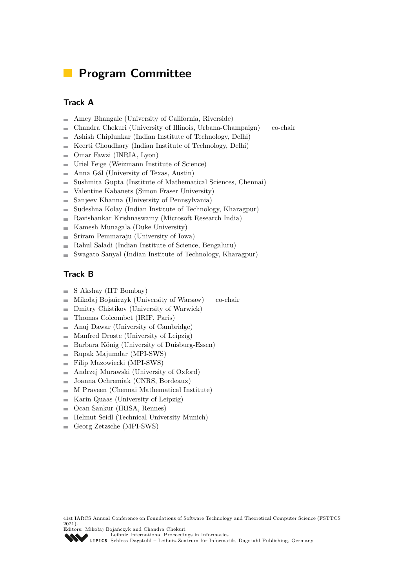# <span id="page-10-0"></span>**Program Committee**

### **Track A**

- Amey Bhangale (University of California, Riverside)  $\overline{a}$
- Chandra Chekuri (University of Illinois, Urbana-Champaign) co-chair  $\overline{a}$
- Ashish Chiplunkar (Indian Institute of Technology, Delhi) ÷
- Keerti Choudhary (Indian Institute of Technology, Delhi)  $\overline{a}$
- Omar Fawzi (INRIA, Lyon)  $\overline{\phantom{0}}$
- Uriel Feige (Weizmann Institute of Science)  $\overline{\phantom{a}}$
- Anna Gál (University of Texas, Austin) ÷
- Sushmita Gupta (Institute of Mathematical Sciences, Chennai)  $\overline{\phantom{a}}$
- Valentine Kabanets (Simon Fraser University)  $\overline{\phantom{a}}$
- Sanjeev Khanna (University of Pennsylvania) ÷
- Sudeshna Kolay (Indian Institute of Technology, Kharagpur)  $\overline{a}$
- Ravishankar Krishnaswamy (Microsoft Research India)  $\overline{a}$
- Kamesh Munagala (Duke University)  $\blacksquare$
- Sriram Pemmaraju (University of Iowa)  $\overline{a}$
- Rahul Saladi (Indian Institute of Science, Bengaluru) ÷
- Swagato Sanyal (Indian Institute of Technology, Kharagpur)  $\overline{a}$

### **Track B**

- S Akshay (IIT Bombay)  $\overline{a}$
- Mikołaj Bojańczyk (University of Warsaw) co-chair  $\equiv$
- Dmitry Chistikov (University of Warwick)  $\overline{a}$
- Thomas Colcombet (IRIF, Paris)  $\overline{a}$
- Anuj Dawar (University of Cambridge)  $\overline{a}$
- Manfred Droste (University of Leipzig)  $\overline{a}$
- Barbara König (University of Duisburg-Essen)  $\sim$
- Rupak Majumdar (MPI-SWS)  $\overline{a}$
- Filip Mazowiecki (MPI-SWS)  $\blacksquare$
- Andrzej Murawski (University of Oxford)  $\rightarrow$
- Joanna Ochremiak (CNRS, Bordeaux)  $\overline{a}$
- $\overline{a}$ M Praveen (Chennai Mathematical Institute)
- Karin Quaas (University of Leipzig)  $\overline{\phantom{a}}$
- Ocan Sankur (IRISA, Rennes)  $\blacksquare$
- Helmut Seidl (Technical University Munich)  $\overline{a}$
- Georg Zetzsche (MPI-SWS)  $\equiv$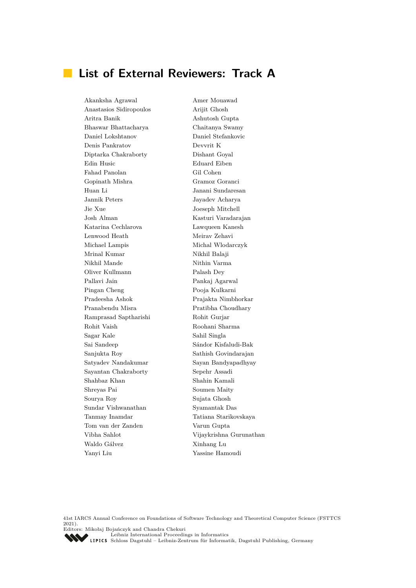# <span id="page-12-0"></span>**List of External Reviewers: Track A**

Akanksha Agrawal Amer Mouawad Anastasios Sidiropoulos Arijit Ghosh Aritra Banik Ashutosh Gupta Bhaswar Bhattacharya Chaitanya Swamy Daniel Lokshtanov Daniel Stefankovic Denis Pankratov Devvrit K Diptarka Chakraborty Dishant Goyal Edin Husic Eduard Eiben Fahad Panolan Gil Cohen Gopinath Mishra Gramoz Goranci Huan Li Janani Sundaresan Jannik Peters Jayadev Acharya Jie Xue Joeseph Mitchell Josh Alman Kasturi Varadarajan Katarina Cechlarova Lawqueen Kanesh Lenwood Heath Meirav Zehavi Michael Lampis Michal Wlodarczyk Mrinal Kumar Nikhil Balaji Nikhil Mande Nithin Varma Oliver Kullmann Palash Dey Pallavi Jain Pankaj Agarwal Pingan Cheng Pooja Kulkarni Pradeesha Ashok Prajakta Nimbhorkar Pranabendu Misra Pratibha Choudhary Ramprasad Saptharishi Rohit Gurjar Rohit Vaish Roohani Sharma Sagar Kale Sahil Singla Sai Sandeep Sándor Kisfaludi-Bak Sanjukta Roy Sathish Govindarajan Satyadev Nandakumar Sayan Bandyapadhyay Sayantan Chakraborty Sepehr Assadi Shahbaz Khan Shahin Kamali Shreyas Pai Soumen Maity Sourya Roy Sujata Ghosh Sundar Vishwanathan Syamantak Das Tanmay Inamdar Tatiana Starikovskaya Tom van der Zanden Varun Gupta Waldo Gálvez Xinhang Lu Yanyi Liu Yassine Hamoudi

Vibha Sahlot Vijaykrishna Gurunathan

41st IARCS Annual Conference on Foundations of Software Technology and Theoretical Computer Science (FSTTCS 2021). Editors: Mikołaj Bojańczyk and Chandra Chekuri

[Leibniz International Proceedings in Informatics](https://www.dagstuhl.de/lipics/)